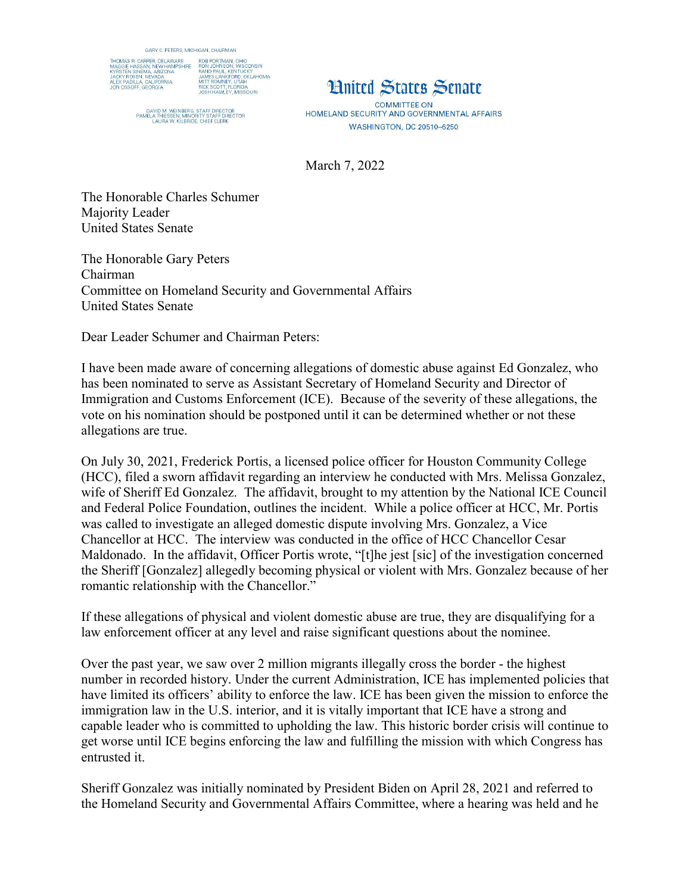

DAVID M. WEINBERG, STAFF DIRECTOR<br>PAMELA THIESSEN, MINORITY STAFF DIRECTOR<br>LAURA W. KILBRIDE, CHIEF CLERK



**COMMITTEE ON** HOMELAND SECURITY AND GOVERNMENTAL AFFAIRS **WASHINGTON, DC 20510-6250** 

March 7, 2022

The Honorable Charles Schumer Majority Leader United States Senate

The Honorable Gary Peters Chairman Committee on Homeland Security and Governmental Affairs United States Senate

Dear Leader Schumer and Chairman Peters:

I have been made aware of concerning allegations of domestic abuse against Ed Gonzalez, who has been nominated to serve as Assistant Secretary of Homeland Security and Director of Immigration and Customs Enforcement (ICE). Because of the severity of these allegations, the vote on his nomination should be postponed until it can be determined whether or not these allegations are true.

On July 30, 2021, Frederick Portis, a licensed police officer for Houston Community College (HCC), filed a sworn affidavit regarding an interview he conducted with Mrs. Melissa Gonzalez, wife of Sheriff Ed Gonzalez. The affidavit, brought to my attention by the National ICE Council and Federal Police Foundation, outlines the incident. While a police officer at HCC, Mr. Portis was called to investigate an alleged domestic dispute involving Mrs. Gonzalez, a Vice Chancellor at HCC. The interview was conducted in the office of HCC Chancellor Cesar Maldonado. In the affidavit, Officer Portis wrote, "[t]he jest [sic] of the investigation concerned the Sheriff [Gonzalez] allegedly becoming physical or violent with Mrs. Gonzalez because of her romantic relationship with the Chancellor."

If these allegations of physical and violent domestic abuse are true, they are disqualifying for a law enforcement officer at any level and raise significant questions about the nominee.

Over the past year, we saw over 2 million migrants illegally cross the border - the highest number in recorded history. Under the current Administration, ICE has implemented policies that have limited its officers' ability to enforce the law. ICE has been given the mission to enforce the immigration law in the U.S. interior, and it is vitally important that ICE have a strong and capable leader who is committed to upholding the law. This historic border crisis will continue to get worse until ICE begins enforcing the law and fulfilling the mission with which Congress has entrusted it.

Sheriff Gonzalez was initially nominated by President Biden on April 28, 2021 and referred to the Homeland Security and Governmental Affairs Committee, where a hearing was held and he